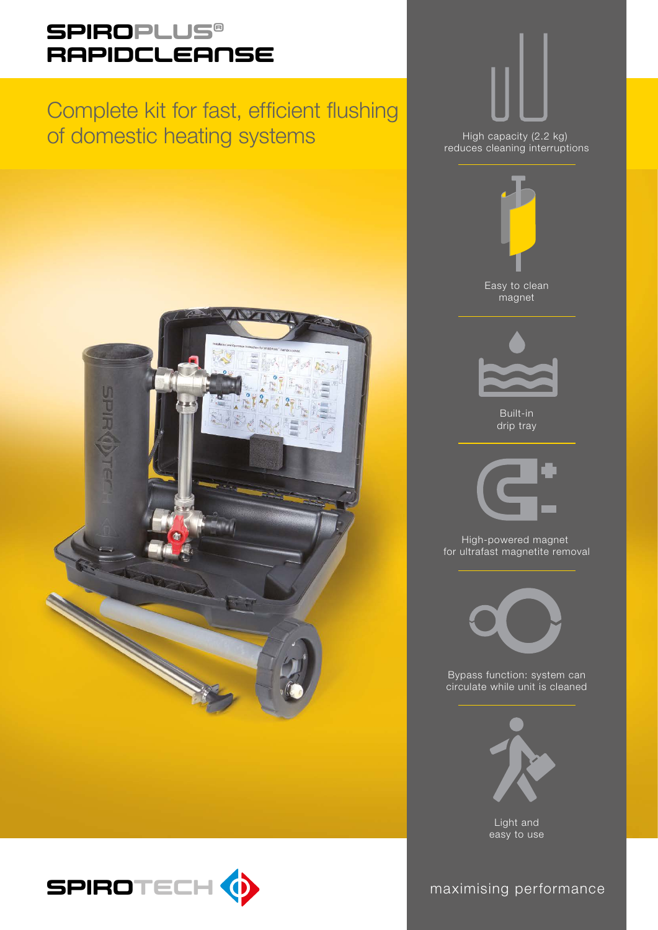## **SPIROPLUS®** RAPIDCLEANSE

# Complete kit for fast, efficient flushing of domestic heating systems





Easy to clean magnet High capacity (2.2 kg) reduces cleaning interruptions



Built-in drip tray



High-powered magnet for ultrafast magnetite removal



Bypass function: system can circulate while unit is cleaned



Light and easy to use

maximising performance